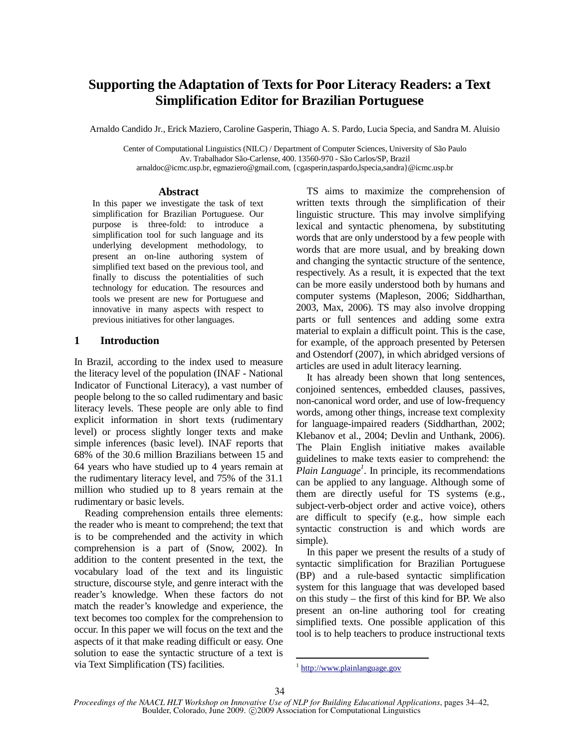# **Supporting the Adaptation of Texts for Poor Literacy Readers: a Text Simplification Editor for Brazilian Portuguese**

Arnaldo Candido Jr., Erick Maziero, Caroline Gasperin, Thiago A. S. Pardo, Lucia Specia, and Sandra M. Aluisio

Center of Computational Linguistics (NILC) / Department of Computer Sciences, University of São Paulo Av. Trabalhador São-Carlense, 400. 13560-970 - São Carlos/SP, Brazil arnaldoc@icmc.usp.br, egmaziero@gmail.com, {cgasperin,taspardo,lspecia,sandra}@icmc.usp.br

#### **Abstract**

In this paper we investigate the task of text simplification for Brazilian Portuguese. Our purpose is three-fold: to introduce a simplification tool for such language and its underlying development methodology, to present an on-line authoring system of simplified text based on the previous tool, and finally to discuss the potentialities of such technology for education. The resources and tools we present are new for Portuguese and innovative in many aspects with respect to previous initiatives for other languages.

### **1 Introduction**

In Brazil, according to the index used to measure the literacy level of the population (INAF - National Indicator of Functional Literacy), a vast number of people belong to the so called rudimentary and basic literacy levels. These people are only able to find explicit information in short texts (rudimentary level) or process slightly longer texts and make simple inferences (basic level). INAF reports that 68% of the 30.6 million Brazilians between 15 and 64 years who have studied up to 4 years remain at the rudimentary literacy level, and 75% of the 31.1 million who studied up to 8 years remain at the rudimentary or basic levels.

Reading comprehension entails three elements: the reader who is meant to comprehend; the text that is to be comprehended and the activity in which comprehension is a part of (Snow, 2002). In addition to the content presented in the text, the vocabulary load of the text and its linguistic structure, discourse style, and genre interact with the reader's knowledge. When these factors do not match the reader's knowledge and experience, the text becomes too complex for the comprehension to occur. In this paper we will focus on the text and the aspects of it that make reading difficult or easy. One solution to ease the syntactic structure of a text is via Text Simplification (TS) facilities.

TS aims to maximize the comprehension of written texts through the simplification of their linguistic structure. This may involve simplifying lexical and syntactic phenomena, by substituting words that are only understood by a few people with words that are more usual, and by breaking down and changing the syntactic structure of the sentence, respectively. As a result, it is expected that the text can be more easily understood both by humans and computer systems (Mapleson, 2006; Siddharthan, 2003, Max, 2006). TS may also involve dropping parts or full sentences and adding some extra material to explain a difficult point. This is the case, for example, of the approach presented by Petersen and Ostendorf (2007), in which abridged versions of articles are used in adult literacy learning.

It has already been shown that long sentences, conjoined sentences, embedded clauses, passives, non-canonical word order, and use of low-frequency words, among other things, increase text complexity for language-impaired readers (Siddharthan, 2002; Klebanov et al., 2004; Devlin and Unthank, 2006). The Plain English initiative makes available guidelines to make texts easier to comprehend: the *Plain Language<sup>1</sup>* . In principle, its recommendations can be applied to any language. Although some of them are directly useful for TS systems (e.g., subject-verb-object order and active voice), others are difficult to specify (e.g., how simple each syntactic construction is and which words are simple).

In this paper we present the results of a study of syntactic simplification for Brazilian Portuguese (BP) and a rule-based syntactic simplification system for this language that was developed based on this study – the first of this kind for BP. We also present an on-line authoring tool for creating simplified texts. One possible application of this tool is to help teachers to produce instructional texts

<sup>&</sup>lt;sup>1</sup> http://www.plainlanguage.gov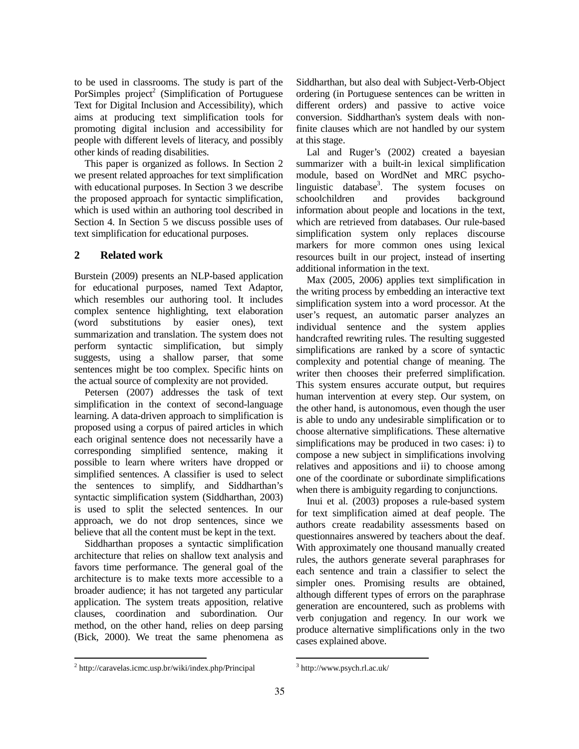to be used in classrooms. The study is part of the PorSimples  $project^2$  (Simplification of Portuguese Text for Digital Inclusion and Accessibility), which aims at producing text simplification tools for promoting digital inclusion and accessibility for people with different levels of literacy, and possibly other kinds of reading disabilities.

This paper is organized as follows. In Section 2 we present related approaches for text simplification with educational purposes. In Section 3 we describe the proposed approach for syntactic simplification, which is used within an authoring tool described in Section 4. In Section 5 we discuss possible uses of text simplification for educational purposes.

# **2 Related work**

Burstein (2009) presents an NLP-based application for educational purposes, named Text Adaptor, which resembles our authoring tool. It includes complex sentence highlighting, text elaboration (word substitutions by easier ones), text summarization and translation. The system does not perform syntactic simplification, but simply suggests, using a shallow parser, that some sentences might be too complex. Specific hints on the actual source of complexity are not provided.

Petersen (2007) addresses the task of text simplification in the context of second-language learning. A data-driven approach to simplification is proposed using a corpus of paired articles in which each original sentence does not necessarily have a corresponding simplified sentence, making it possible to learn where writers have dropped or simplified sentences. A classifier is used to select the sentences to simplify, and Siddharthan's syntactic simplification system (Siddharthan, 2003) is used to split the selected sentences. In our approach, we do not drop sentences, since we believe that all the content must be kept in the text.

Siddharthan proposes a syntactic simplification architecture that relies on shallow text analysis and favors time performance. The general goal of the architecture is to make texts more accessible to a broader audience; it has not targeted any particular application. The system treats apposition, relative clauses, coordination and subordination. Our method, on the other hand, relies on deep parsing (Bick, 2000). We treat the same phenomena as Siddharthan, but also deal with Subject-Verb-Object ordering (in Portuguese sentences can be written in different orders) and passive to active voice conversion. Siddharthan's system deals with nonfinite clauses which are not handled by our system at this stage.

Lal and Ruger's (2002) created a bayesian summarizer with a built-in lexical simplification module, based on WordNet and MRC psycholinguistic database<sup>3</sup>. The system focuses on schoolchildren and provides background information about people and locations in the text, which are retrieved from databases. Our rule-based simplification system only replaces discourse markers for more common ones using lexical resources built in our project, instead of inserting additional information in the text.

Max (2005, 2006) applies text simplification in the writing process by embedding an interactive text simplification system into a word processor. At the user's request, an automatic parser analyzes an individual sentence and the system applies handcrafted rewriting rules. The resulting suggested simplifications are ranked by a score of syntactic complexity and potential change of meaning. The writer then chooses their preferred simplification. This system ensures accurate output, but requires human intervention at every step. Our system, on the other hand, is autonomous, even though the user is able to undo any undesirable simplification or to choose alternative simplifications. These alternative simplifications may be produced in two cases: i) to compose a new subject in simplifications involving relatives and appositions and ii) to choose among one of the coordinate or subordinate simplifications when there is ambiguity regarding to conjunctions.

Inui et al. (2003) proposes a rule-based system for text simplification aimed at deaf people. The authors create readability assessments based on questionnaires answered by teachers about the deaf. With approximately one thousand manually created rules, the authors generate several paraphrases for each sentence and train a classifier to select the simpler ones. Promising results are obtained, although different types of errors on the paraphrase generation are encountered, such as problems with verb conjugation and regency. In our work we produce alternative simplifications only in the two cases explained above.

 2 http://caravelas.icmc.usp.br/wiki/index.php/Principal

<sup>3</sup> http://www.psych.rl.ac.uk/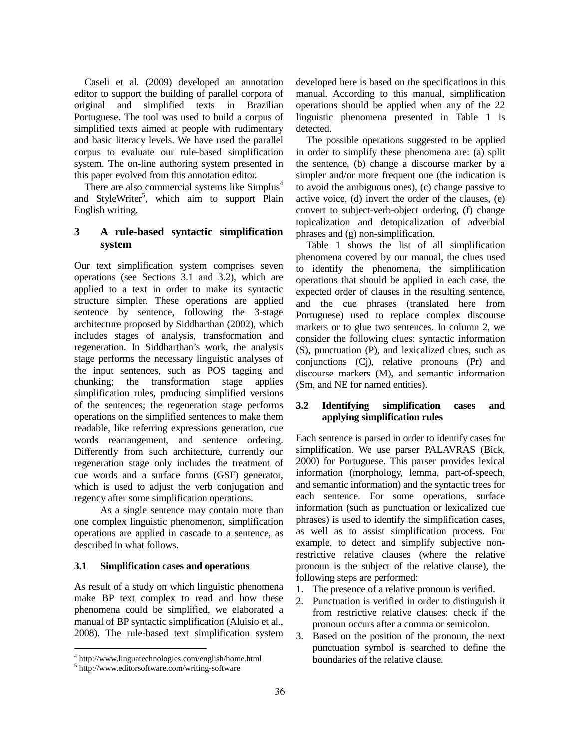Caseli et al. (2009) developed an annotation editor to support the building of parallel corpora of original and simplified texts in Brazilian Portuguese. The tool was used to build a corpus of simplified texts aimed at people with rudimentary and basic literacy levels. We have used the parallel corpus to evaluate our rule-based simplification system. The on-line authoring system presented in this paper evolved from this annotation editor.

There are also commercial systems like Simplus<sup>4</sup> and StyleWriter<sup>5</sup>, which aim to support Plain English writing.

# **3 A rule-based syntactic simplification system**

Our text simplification system comprises seven operations (see Sections 3.1 and 3.2), which are applied to a text in order to make its syntactic structure simpler. These operations are applied sentence by sentence, following the 3-stage architecture proposed by Siddharthan (2002), which includes stages of analysis, transformation and regeneration. In Siddharthan's work, the analysis stage performs the necessary linguistic analyses of the input sentences, such as POS tagging and chunking; the transformation stage applies simplification rules, producing simplified versions of the sentences; the regeneration stage performs operations on the simplified sentences to make them readable, like referring expressions generation, cue words rearrangement, and sentence ordering. Differently from such architecture, currently our regeneration stage only includes the treatment of cue words and a surface forms (GSF) generator, which is used to adjust the verb conjugation and regency after some simplification operations.

As a single sentence may contain more than one complex linguistic phenomenon, simplification operations are applied in cascade to a sentence, as described in what follows.

### **3.1 Simplification cases and operations**

As result of a study on which linguistic phenomena make BP text complex to read and how these phenomena could be simplified, we elaborated a manual of BP syntactic simplification (Aluisio et al., 2008). The rule-based text simplification system

developed here is based on the specifications in this manual. According to this manual, simplification operations should be applied when any of the 22 linguistic phenomena presented in Table 1 is detected.

The possible operations suggested to be applied in order to simplify these phenomena are: (a) split the sentence, (b) change a discourse marker by a simpler and/or more frequent one (the indication is to avoid the ambiguous ones), (c) change passive to active voice, (d) invert the order of the clauses, (e) convert to subject-verb-object ordering, (f) change topicalization and detopicalization of adverbial phrases and (g) non-simplification.

Table 1 shows the list of all simplification phenomena covered by our manual, the clues used to identify the phenomena, the simplification operations that should be applied in each case, the expected order of clauses in the resulting sentence, and the cue phrases (translated here from Portuguese) used to replace complex discourse markers or to glue two sentences. In column 2, we consider the following clues: syntactic information (S), punctuation (P), and lexicalized clues, such as conjunctions (Cj), relative pronouns (Pr) and discourse markers (M), and semantic information (Sm, and NE for named entities).

### **3.2 Identifying simplification cases and applying simplification rules**

Each sentence is parsed in order to identify cases for simplification. We use parser PALAVRAS (Bick, 2000) for Portuguese. This parser provides lexical information (morphology, lemma, part-of-speech, and semantic information) and the syntactic trees for each sentence. For some operations, surface information (such as punctuation or lexicalized cue phrases) is used to identify the simplification cases, as well as to assist simplification process. For example, to detect and simplify subjective nonrestrictive relative clauses (where the relative pronoun is the subject of the relative clause), the following steps are performed:

- 1. The presence of a relative pronoun is verified.
- 2. Punctuation is verified in order to distinguish it from restrictive relative clauses: check if the pronoun occurs after a comma or semicolon.
- 3. Based on the position of the pronoun, the next punctuation symbol is searched to define the boundaries of the relative clause.

<sup>4</sup> http://www.linguatechnologies.com/english/home.html

<sup>5</sup> http://www.editorsoftware.com/writing-software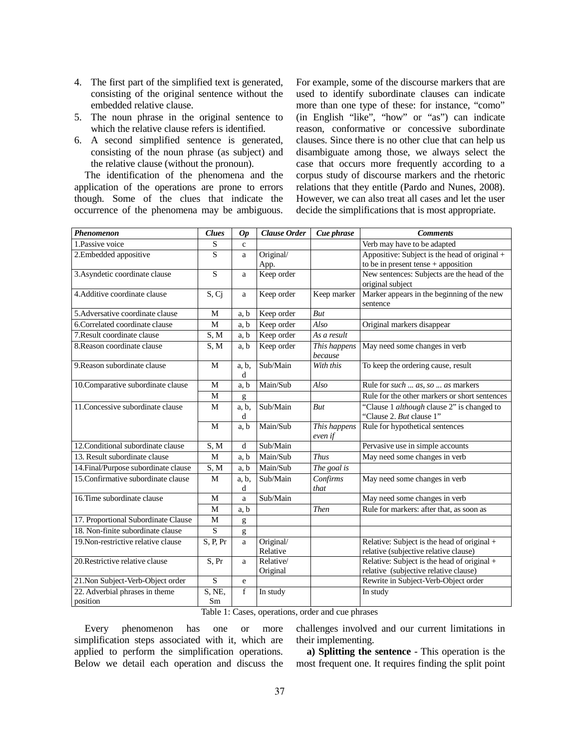- 4. The first part of the simplified text is generated, consisting of the original sentence without the embedded relative clause.
- 5. The noun phrase in the original sentence to which the relative clause refers is identified.
- 6. A second simplified sentence is generated, consisting of the noun phrase (as subject) and the relative clause (without the pronoun).

The identification of the phenomena and the application of the operations are prone to errors though. Some of the clues that indicate the occurrence of the phenomena may be ambiguous. For example, some of the discourse markers that are used to identify subordinate clauses can indicate more than one type of these: for instance, "como" (in English "like", "how" or "as") can indicate reason, conformative or concessive subordinate clauses. Since there is no other clue that can help us disambiguate among those, we always select the case that occurs more frequently according to a corpus study of discourse markers and the rhetoric relations that they entitle (Pardo and Nunes, 2008). However, we can also treat all cases and let the user decide the simplifications that is most appropriate.

| Phenomenon                                 | <b>Clues</b> | <b>Op</b>     | Clause Order          | Cue phrase               | <b>Comments</b>                                                                      |
|--------------------------------------------|--------------|---------------|-----------------------|--------------------------|--------------------------------------------------------------------------------------|
| 1.Passive voice                            | S            | $\mathbf{c}$  |                       |                          | Verb may have to be adapted                                                          |
| 2.Embedded appositive                      | S            | a             | Original/             |                          | Appositive: Subject is the head of original $+$                                      |
|                                            |              |               | App.                  |                          | to be in present tense $+$ apposition                                                |
| 3. Asyndetic coordinate clause             | S            | a             | Keep order            |                          | New sentences: Subjects are the head of the<br>original subject                      |
| 4. Additive coordinate clause              | S, Ci        | a             | Keep order            | Keep marker              | Marker appears in the beginning of the new<br>sentence                               |
| 5. Adversative coordinate clause           | M            | a, b          | Keep order            | <b>But</b>               |                                                                                      |
| 6. Correlated coordinate clause            | M            | a, b          | Keep order            | Also                     | Original markers disappear                                                           |
| 7. Result coordinate clause                | S, M         | a, b          | Keep order            | $\overline{As}$ a result |                                                                                      |
| 8. Reason coordinate clause                | S, M         | a, b          | Keep order            | This happens<br>because  | May need some changes in verb                                                        |
| 9. Reason subordinate clause               | M            | $a, b$ ,<br>d | Sub/Main              | With this                | To keep the ordering cause, result                                                   |
| 10. Comparative subordinate clause         | M            | a, b          | Main/Sub              | Also                     | Rule for such  as, so  as markers                                                    |
|                                            | M            | g             |                       |                          | Rule for the other markers or short sentences                                        |
| 11. Concessive subordinate clause          | M            | a, b,<br>d    | Sub/Main              | But                      | "Clause 1 <i>although</i> clause 2" is changed to<br>"Clause 2. But clause 1"        |
|                                            | M            | a, b          | Main/Sub              | This happens<br>even if  | Rule for hypothetical sentences                                                      |
| 12. Conditional subordinate clause         | S, M         | d             | Sub/Main              |                          | Pervasive use in simple accounts                                                     |
| 13. Result subordinate clause              | M            | a, b          | Main/Sub              | <b>Thus</b>              | May need some changes in verb                                                        |
| 14. Final/Purpose subordinate clause       | S, M         | a, b          | Main/Sub              | The goal is              |                                                                                      |
| 15. Confirmative subordinate clause        | M            | a, b,<br>d    | Sub/Main              | Confirms<br>that         | May need some changes in verb                                                        |
| 16. Time subordinate clause                | M            | a             | Sub/Main              |                          | May need some changes in verb                                                        |
|                                            | M            | a, b          |                       | <b>Then</b>              | Rule for markers: after that, as soon as                                             |
| 17. Proportional Subordinate Clause        | $\mathbf M$  | g             |                       |                          |                                                                                      |
| 18. Non-finite subordinate clause          | S            | g             |                       |                          |                                                                                      |
| 19. Non-restrictive relative clause        | S, P, Pr     | a             | Original/<br>Relative |                          | Relative: Subject is the head of original +<br>relative (subjective relative clause) |
| 20. Restrictive relative clause            | S, Pr        | a             | Relative/<br>Original |                          | Relative: Subject is the head of original +<br>relative (subjective relative clause) |
| 21. Non Subject-Verb-Object order          | ${\bf S}$    | e             |                       |                          | Rewrite in Subject-Verb-Object order                                                 |
| 22. Adverbial phrases in theme<br>position | S, NE,<br>Sm | f             | In study              |                          | In study                                                                             |

Table 1: Cases, operations, order and cue phrases

Every phenomenon has one or more simplification steps associated with it, which are applied to perform the simplification operations. Below we detail each operation and discuss the challenges involved and our current limitations in their implementing.

**a) Splitting the sentence** - This operation is the most frequent one. It requires finding the split point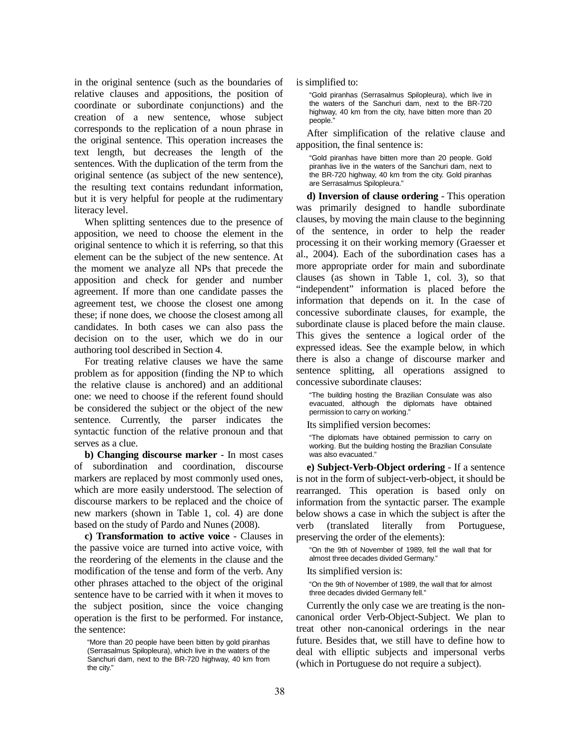in the original sentence (such as the boundaries of relative clauses and appositions, the position of coordinate or subordinate conjunctions) and the creation of a new sentence, whose subject corresponds to the replication of a noun phrase in the original sentence. This operation increases the text length, but decreases the length of the sentences. With the duplication of the term from the original sentence (as subject of the new sentence), the resulting text contains redundant information, but it is very helpful for people at the rudimentary literacy level.

When splitting sentences due to the presence of apposition, we need to choose the element in the original sentence to which it is referring, so that this element can be the subject of the new sentence. At the moment we analyze all NPs that precede the apposition and check for gender and number agreement. If more than one candidate passes the agreement test, we choose the closest one among these; if none does, we choose the closest among all candidates. In both cases we can also pass the decision on to the user, which we do in our authoring tool described in Section 4.

For treating relative clauses we have the same problem as for apposition (finding the NP to which the relative clause is anchored) and an additional one: we need to choose if the referent found should be considered the subject or the object of the new sentence. Currently, the parser indicates the syntactic function of the relative pronoun and that serves as a clue.

**b) Changing discourse marker** - In most cases of subordination and coordination, discourse markers are replaced by most commonly used ones, which are more easily understood. The selection of discourse markers to be replaced and the choice of new markers (shown in Table 1, col. 4) are done based on the study of Pardo and Nunes (2008).

**c) Transformation to active voice** - Clauses in the passive voice are turned into active voice, with the reordering of the elements in the clause and the modification of the tense and form of the verb. Any other phrases attached to the object of the original sentence have to be carried with it when it moves to the subject position, since the voice changing operation is the first to be performed. For instance, the sentence:

is simplified to:

"Gold piranhas (Serrasalmus Spilopleura), which live in the waters of the Sanchuri dam, next to the BR-720 highway, 40 km from the city, have bitten more than 20 people."

After simplification of the relative clause and apposition, the final sentence is:

"Gold piranhas have bitten more than 20 people. Gold piranhas live in the waters of the Sanchuri dam, next to the BR-720 highway, 40 km from the city. Gold piranhas are Serrasalmus Spilopleura."

**d) Inversion of clause ordering** - This operation was primarily designed to handle subordinate clauses, by moving the main clause to the beginning of the sentence, in order to help the reader processing it on their working memory (Graesser et al., 2004). Each of the subordination cases has a more appropriate order for main and subordinate clauses (as shown in Table 1, col. 3), so that "independent" information is placed before the information that depends on it. In the case of concessive subordinate clauses, for example, the subordinate clause is placed before the main clause. This gives the sentence a logical order of the expressed ideas. See the example below, in which there is also a change of discourse marker and sentence splitting, all operations assigned to concessive subordinate clauses:

"The building hosting the Brazilian Consulate was also evacuated, although the diplomats have obtained permission to carry on working."

Its simplified version becomes:

"The diplomats have obtained permission to carry on working. But the building hosting the Brazilian Consulate was also evacuated."

**e) Subject-Verb-Object ordering** - If a sentence is not in the form of subject-verb-object, it should be rearranged. This operation is based only on information from the syntactic parser. The example below shows a case in which the subject is after the verb (translated literally from Portuguese, preserving the order of the elements):

"On the 9th of November of 1989, fell the wall that for almost three decades divided Germany."

Its simplified version is:

"On the 9th of November of 1989, the wall that for almost three decades divided Germany fell."

Currently the only case we are treating is the noncanonical order Verb-Object-Subject. We plan to treat other non-canonical orderings in the near future. Besides that, we still have to define how to deal with elliptic subjects and impersonal verbs (which in Portuguese do not require a subject).

<sup>&</sup>quot;More than 20 people have been bitten by gold piranhas (Serrasalmus Spilopleura), which live in the waters of the Sanchuri dam, next to the BR-720 highway, 40 km from the city."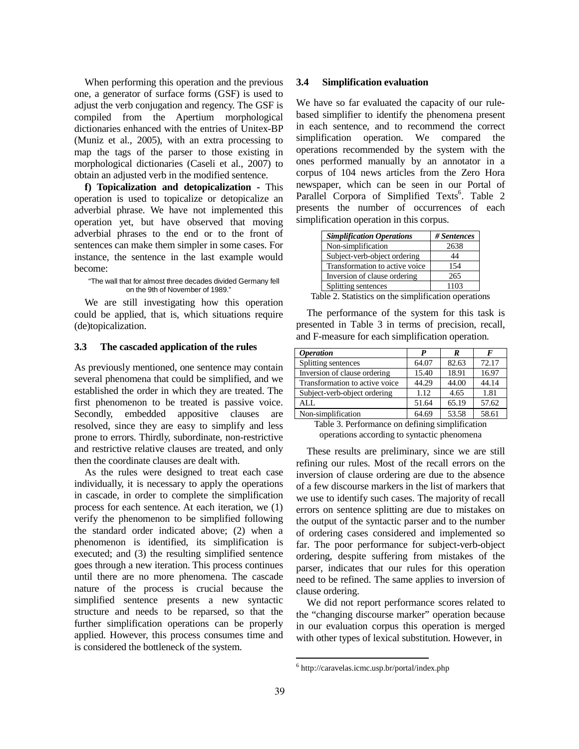When performing this operation and the previous one, a generator of surface forms (GSF) is used to adjust the verb conjugation and regency. The GSF is compiled from the Apertium morphological dictionaries enhanced with the entries of Unitex-BP (Muniz et al., 2005), with an extra processing to map the tags of the parser to those existing in morphological dictionaries (Caseli et al., 2007) to obtain an adjusted verb in the modified sentence.

**f) Topicalization and detopicalization -** This operation is used to topicalize or detopicalize an adverbial phrase. We have not implemented this operation yet, but have observed that moving adverbial phrases to the end or to the front of sentences can make them simpler in some cases. For instance, the sentence in the last example would become:

#### "The wall that for almost three decades divided Germany fell on the 9th of November of 1989."

We are still investigating how this operation could be applied, that is, which situations require (de)topicalization.

#### **3.3 The cascaded application of the rules**

As previously mentioned, one sentence may contain several phenomena that could be simplified, and we established the order in which they are treated. The first phenomenon to be treated is passive voice. Secondly, embedded appositive clauses are resolved, since they are easy to simplify and less prone to errors. Thirdly, subordinate, non-restrictive and restrictive relative clauses are treated, and only then the coordinate clauses are dealt with.

As the rules were designed to treat each case individually, it is necessary to apply the operations in cascade, in order to complete the simplification process for each sentence. At each iteration, we (1) verify the phenomenon to be simplified following the standard order indicated above; (2) when a phenomenon is identified, its simplification is executed; and (3) the resulting simplified sentence goes through a new iteration. This process continues until there are no more phenomena. The cascade nature of the process is crucial because the simplified sentence presents a new syntactic structure and needs to be reparsed, so that the further simplification operations can be properly applied. However, this process consumes time and is considered the bottleneck of the system.

#### **3.4 Simplification evaluation**

We have so far evaluated the capacity of our rulebased simplifier to identify the phenomena present in each sentence, and to recommend the correct simplification operation. We compared the operations recommended by the system with the ones performed manually by an annotator in a corpus of 104 news articles from the Zero Hora newspaper, which can be seen in our Portal of Parallel Corpora of Simplified Texts<sup>6</sup>. Table 2 presents the number of occurrences of each simplification operation in this corpus.

| <b>Simplification Operations</b> | # Sentences |
|----------------------------------|-------------|
| Non-simplification               | 2638        |
| Subject-verb-object ordering     | 44          |
| Transformation to active voice   | 154         |
| Inversion of clause ordering     | 265         |
| Splitting sentences              | 1103        |

Table 2. Statistics on the simplification operations

The performance of the system for this task is presented in Table 3 in terms of precision, recall, and F-measure for each simplification operation.

| <i><b>Operation</b></i>        | P     | R     | F     |
|--------------------------------|-------|-------|-------|
| Splitting sentences            | 64.07 | 82.63 | 72.17 |
| Inversion of clause ordering   | 15.40 | 18.91 | 16.97 |
| Transformation to active voice | 44.29 | 44.00 | 44.14 |
| Subject-verb-object ordering   | 1.12  | 4.65  | 1.81  |
| ALL.                           | 51.64 | 65.19 | 57.62 |
| Non-simplification             | 64.69 | 53.58 | 58.61 |

Table 3. Performance on defining simplification operations according to syntactic phenomena

These results are preliminary, since we are still refining our rules. Most of the recall errors on the inversion of clause ordering are due to the absence of a few discourse markers in the list of markers that we use to identify such cases. The majority of recall errors on sentence splitting are due to mistakes on the output of the syntactic parser and to the number of ordering cases considered and implemented so far. The poor performance for subject-verb-object ordering, despite suffering from mistakes of the parser, indicates that our rules for this operation need to be refined. The same applies to inversion of clause ordering.

We did not report performance scores related to the "changing discourse marker" operation because in our evaluation corpus this operation is merged with other types of lexical substitution. However, in

<sup>6</sup> http://caravelas.icmc.usp.br/portal/index.php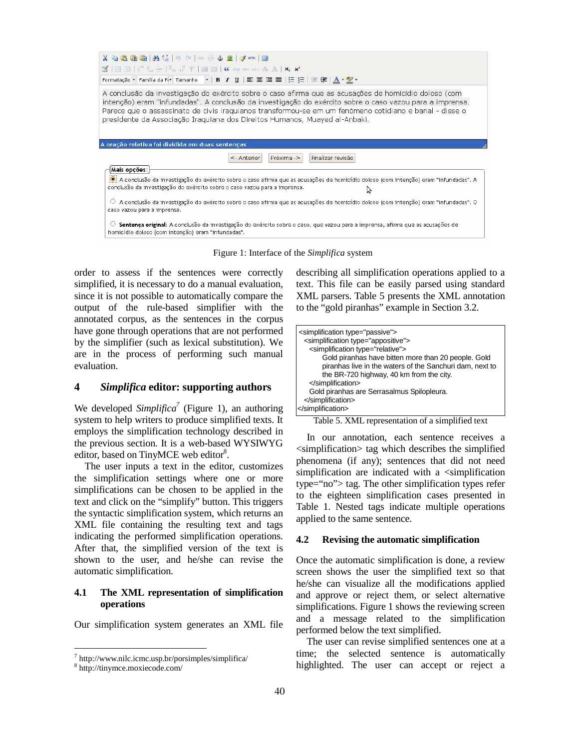| $X$ to the the the $\langle \hat{h}   0 \rangle$ of $  \gg \phi$ . Let $\mathcal{J}$ and $  \mathcal{J}  $                                                                                                                                                                                                    |                                                                                                                                                                                                                                                                                                                                                                                                           |
|---------------------------------------------------------------------------------------------------------------------------------------------------------------------------------------------------------------------------------------------------------------------------------------------------------------|-----------------------------------------------------------------------------------------------------------------------------------------------------------------------------------------------------------------------------------------------------------------------------------------------------------------------------------------------------------------------------------------------------------|
| $\mathbb{E}[\mathbf{1} \boxplus \boxdot \mathbf{1}] \mathbb{E}^{\mathsf{H}} \mathbb{E}_a \oplus \mathbb{E}[\mathbb{E}_a \mathbb{H}^{\mathsf{H}}] \mathbb{E}[\mathbb{E}[\mathbf{1} \boxdot \mathbf{1}] \mathbf{G}] \mathbb{E}_a \mathbb{E}_b \mathbb{E}_a \mathbb{E}_a \mathbb{E}_a \mathbb{E}_a \mathbb{E}_a$ |                                                                                                                                                                                                                                                                                                                                                                                                           |
|                                                                                                                                                                                                                                                                                                               |                                                                                                                                                                                                                                                                                                                                                                                                           |
|                                                                                                                                                                                                                                                                                                               |                                                                                                                                                                                                                                                                                                                                                                                                           |
|                                                                                                                                                                                                                                                                                                               | A conclusão da investigação do exército sobre o caso afirma que as acusações de homicídio doloso (com<br>intenção) eram "infundadas". A conclusão da investigação do exército sobre o caso vazou para a imprensa.<br>Parece que o assassinato de civis iraquianos transformou-se em um fenômeno cotidiano e banal - disse o<br>presidente da Associação Iraquiana dos Direitos Humanos, Muayed al-Anbaki. |
| A oração relativa foi dividida em duas sentenças                                                                                                                                                                                                                                                              |                                                                                                                                                                                                                                                                                                                                                                                                           |
|                                                                                                                                                                                                                                                                                                               | Finalizar revisão<br>Próxima -><br>$\leq$ - Anterior                                                                                                                                                                                                                                                                                                                                                      |
| Mais opções:                                                                                                                                                                                                                                                                                                  |                                                                                                                                                                                                                                                                                                                                                                                                           |
|                                                                                                                                                                                                                                                                                                               | A conclusão da investigação do exército sobre o caso afirma que as acusações de homicídio doloso (com intenção) eram "infundadas". A                                                                                                                                                                                                                                                                      |
|                                                                                                                                                                                                                                                                                                               | conclusão da investigação do exército sobre o caso vazou para a imprensa.                                                                                                                                                                                                                                                                                                                                 |
| caso vazou para a imprensa.                                                                                                                                                                                                                                                                                   | ○ A conclusão da investigação do exército sobre o caso afirma que as acusações de homicídio doloso (com intenção) eram "infundadas". O                                                                                                                                                                                                                                                                    |

Figure 1: Interface of the *Simplifica* system

order to assess if the sentences were correctly simplified, it is necessary to do a manual evaluation, since it is not possible to automatically compare the output of the rule-based simplifier with the annotated corpus, as the sentences in the corpus have gone through operations that are not performed by the simplifier (such as lexical substitution). We are in the process of performing such manual evaluation.

#### **4** *Simplifica* **editor: supporting authors**

We developed *Simplifica<sup>7</sup>* (Figure 1)*,* an authoring system to help writers to produce simplified texts. It employs the simplification technology described in the previous section. It is a web-based WYSIWYG editor, based on TinyMCE web editor<sup>8</sup>.

The user inputs a text in the editor, customizes the simplification settings where one or more simplifications can be chosen to be applied in the text and click on the "simplify" button. This triggers the syntactic simplification system, which returns an XML file containing the resulting text and tags indicating the performed simplification operations. After that, the simplified version of the text is shown to the user, and he/she can revise the automatic simplification.

### **4.1 The XML representation of simplification operations**

Our simplification system generates an XML file

describing all simplification operations applied to a text. This file can be easily parsed using standard XML parsers. Table 5 presents the XML annotation to the "gold piranhas" example in Section 3.2.

Table 5. XML representation of a simplified text

In our annotation, each sentence receives a <simplification> tag which describes the simplified phenomena (if any); sentences that did not need simplification are indicated with a  $\le$ simplification type="no"> tag. The other simplification types refer to the eighteen simplification cases presented in Table 1. Nested tags indicate multiple operations applied to the same sentence.

#### **4.2 Revising the automatic simplification**

Once the automatic simplification is done, a review screen shows the user the simplified text so that he/she can visualize all the modifications applied and approve or reject them, or select alternative simplifications. Figure 1 shows the reviewing screen and a message related to the simplification performed below the text simplified.

The user can revise simplified sentences one at a time; the selected sentence is automatically highlighted. The user can accept or reject a

<sup>7</sup> http://www.nilc.icmc.usp.br/porsimples/simplifica/

<sup>8</sup> http://tinymce.moxiecode.com/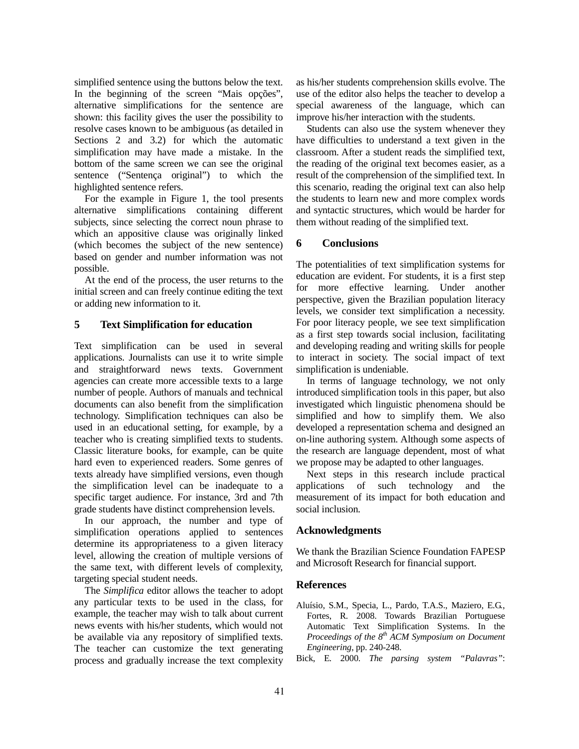simplified sentence using the buttons below the text. In the beginning of the screen "Mais opções", alternative simplifications for the sentence are shown: this facility gives the user the possibility to resolve cases known to be ambiguous (as detailed in Sections 2 and 3.2) for which the automatic simplification may have made a mistake. In the bottom of the same screen we can see the original sentence ("Sentença original") to which the highlighted sentence refers.

For the example in Figure 1, the tool presents alternative simplifications containing different subjects, since selecting the correct noun phrase to which an appositive clause was originally linked (which becomes the subject of the new sentence) based on gender and number information was not possible.

At the end of the process, the user returns to the initial screen and can freely continue editing the text or adding new information to it.

# **5 Text Simplification for education**

Text simplification can be used in several applications. Journalists can use it to write simple and straightforward news texts. Government agencies can create more accessible texts to a large number of people. Authors of manuals and technical documents can also benefit from the simplification technology. Simplification techniques can also be used in an educational setting, for example, by a teacher who is creating simplified texts to students. Classic literature books, for example, can be quite hard even to experienced readers. Some genres of texts already have simplified versions, even though the simplification level can be inadequate to a specific target audience. For instance, 3rd and 7th grade students have distinct comprehension levels.

In our approach, the number and type of simplification operations applied to sentences determine its appropriateness to a given literacy level, allowing the creation of multiple versions of the same text, with different levels of complexity, targeting special student needs.

The *Simplifica* editor allows the teacher to adopt any particular texts to be used in the class, for example, the teacher may wish to talk about current news events with his/her students, which would not be available via any repository of simplified texts. The teacher can customize the text generating process and gradually increase the text complexity as his/her students comprehension skills evolve. The use of the editor also helps the teacher to develop a special awareness of the language, which can improve his/her interaction with the students.

Students can also use the system whenever they have difficulties to understand a text given in the classroom. After a student reads the simplified text, the reading of the original text becomes easier, as a result of the comprehension of the simplified text. In this scenario, reading the original text can also help the students to learn new and more complex words and syntactic structures, which would be harder for them without reading of the simplified text.

# **6 Conclusions**

The potentialities of text simplification systems for education are evident. For students, it is a first step for more effective learning. Under another perspective, given the Brazilian population literacy levels, we consider text simplification a necessity. For poor literacy people, we see text simplification as a first step towards social inclusion, facilitating and developing reading and writing skills for people to interact in society. The social impact of text simplification is undeniable.

In terms of language technology, we not only introduced simplification tools in this paper, but also investigated which linguistic phenomena should be simplified and how to simplify them. We also developed a representation schema and designed an on-line authoring system. Although some aspects of the research are language dependent, most of what we propose may be adapted to other languages.

Next steps in this research include practical applications of such technology and the measurement of its impact for both education and social inclusion.

# **Acknowledgments**

We thank the Brazilian Science Foundation FAPESP and Microsoft Research for financial support.

# **References**

Aluísio, S.M., Specia, L., Pardo, T.A.S., Maziero, E.G., Fortes, R. 2008. Towards Brazilian Portuguese Automatic Text Simplification Systems. In the *Proceedings of the 8th ACM Symposium on Document Engineering*, pp. 240-248.

Bick, E. 2000. *The parsing system "Palavras"*: